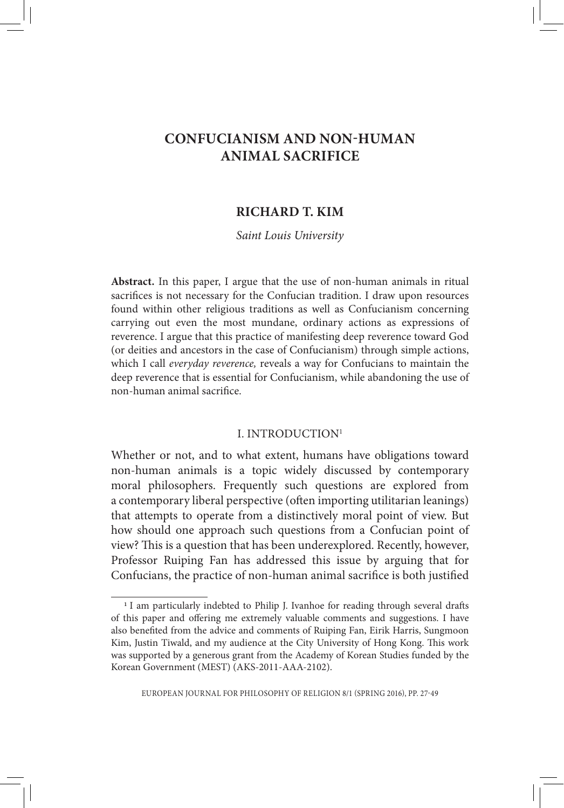# **CONFUCIANISM AND NON-HUMAN ANIMAL SACRIFICE**

# **RICHARD T. KIM**

*Saint Louis University*

Abstract. In this paper, I argue that the use of non-human animals in ritual sacrifices is not necessary for the Confucian tradition. I draw upon resources found within other religious traditions as well as Confucianism concerning carrying out even the most mundane, ordinary actions as expressions of reverence. I argue that this practice of manifesting deep reverence toward God (or deities and ancestors in the case of Confucianism) through simple actions, which I call *everyday reverence,* reveals a way for Confucians to maintain the deep reverence that is essential for Confucianism, while abandoning the use of non-human animal sacrifice.

### I. INTRODUCTION1

Whether or not, and to what extent, humans have obligations toward non-human animals is a topic widely discussed by contemporary moral philosophers. Frequently such questions are explored from a contemporary liberal perspective (often importing utilitarian leanings) that attempts to operate from a distinctively moral point of view. But how should one approach such questions from a Confucian point of view? This is a question that has been underexplored. Recently, however, Professor Ruiping Fan has addressed this issue by arguing that for Confucians, the practice of non-human animal sacrifice is both justified

<sup>&</sup>lt;sup>1</sup> I am particularly indebted to Philip J. Ivanhoe for reading through several drafts of this paper and offering me extremely valuable comments and suggestions. I have also benefited from the advice and comments of Ruiping Fan, Eirik Harris, Sungmoon Kim, Justin Tiwald, and my audience at the City University of Hong Kong. This work was supported by a generous grant from the Academy of Korean Studies funded by the Korean Government (MEST) (AKS-2011-AAA-2102).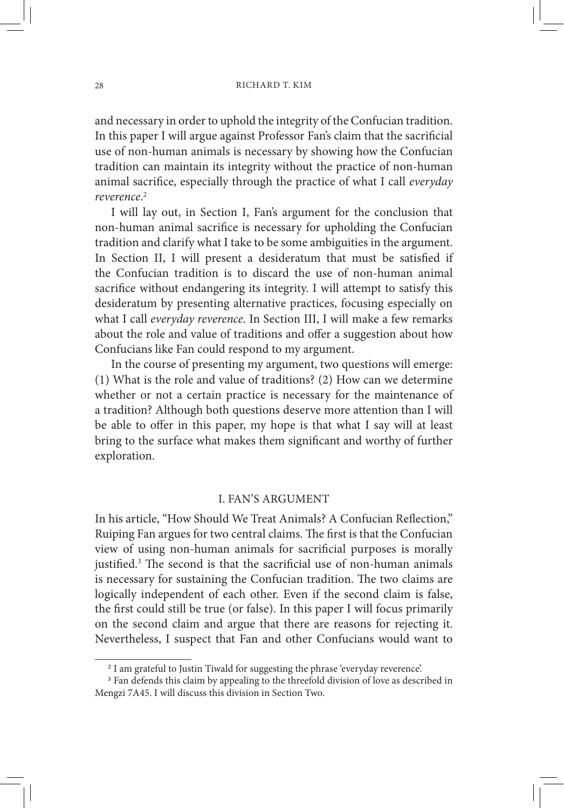and necessary in order to uphold the integrity of the Confucian tradition. In this paper I will argue against Professor Fan's claim that the sacrificial use of non-human animals is necessary by showing how the Confucian tradition can maintain its integrity without the practice of non-human animal sacrifice, especially through the practice of what I call *everyday reverence*. 2

I will lay out, in Section I, Fan's argument for the conclusion that non-human animal sacrifice is necessary for upholding the Confucian tradition and clarify what I take to be some ambiguities in the argument. In Section II, I will present a desideratum that must be satisfied if the Confucian tradition is to discard the use of non-human animal sacrifice without endangering its integrity. I will attempt to satisfy this desideratum by presenting alternative practices, focusing especially on what I call *everyday reverence*. In Section III, I will make a few remarks about the role and value of traditions and offer a suggestion about how Confucians like Fan could respond to my argument.

In the course of presenting my argument, two questions will emerge: (1) What is the role and value of traditions? (2) How can we determine whether or not a certain practice is necessary for the maintenance of a tradition? Although both questions deserve more attention than I will be able to offer in this paper, my hope is that what I say will at least bring to the surface what makes them significant and worthy of further exploration.

### I. FAN'S ARGUMENT

In his article, "How Should We Treat Animals? A Confucian Reflection," Ruiping Fan argues for two central claims. The first is that the Confucian view of using non-human animals for sacrificial purposes is morally justified.3 The second is that the sacrificial use of non-human animals is necessary for sustaining the Confucian tradition. The two claims are logically independent of each other. Even if the second claim is false, the first could still be true (or false). In this paper I will focus primarily on the second claim and argue that there are reasons for rejecting it. Nevertheless, I suspect that Fan and other Confucians would want to

<sup>2</sup> I am grateful to Justin Tiwald for suggesting the phrase 'everyday reverence'.

<sup>&</sup>lt;sup>3</sup> Fan defends this claim by appealing to the threefold division of love as described in Mengzi 7A45. I will discuss this division in Section Two.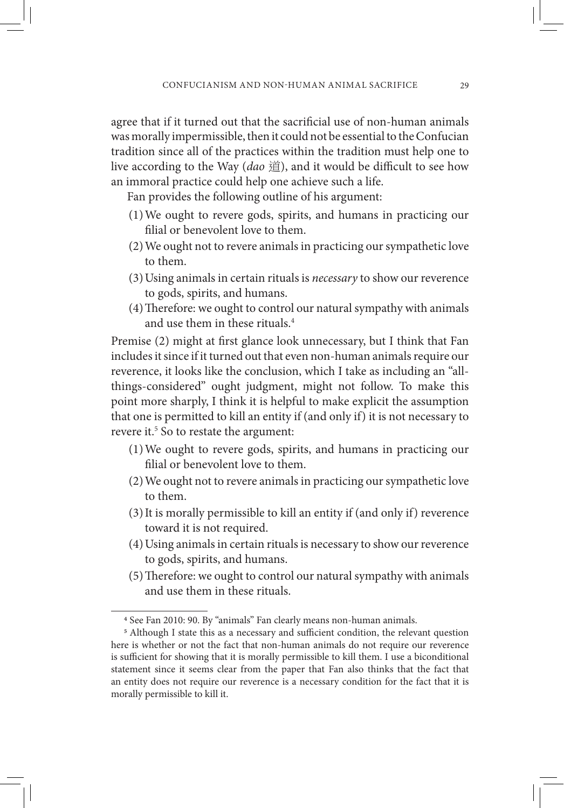agree that if it turned out that the sacrificial use of non-human animals was morally impermissible, then it could not be essential to the Confucian tradition since all of the practices within the tradition must help one to live according to the Way (*dao* 道), and it would be difficult to see how an immoral practice could help one achieve such a life.

Fan provides the following outline of his argument:

- (1)We ought to revere gods, spirits, and humans in practicing our filial or benevolent love to them.
- (2)We ought not to revere animals in practicing our sympathetic love to them.
- (3)Using animals in certain rituals is *necessary* to show our reverence to gods, spirits, and humans.
- (4)Therefore: we ought to control our natural sympathy with animals and use them in these rituals.4

Premise (2) might at first glance look unnecessary, but I think that Fan includes it since if it turned out that even non-human animals require our reverence, it looks like the conclusion, which I take as including an "allthings-considered" ought judgment, might not follow. To make this point more sharply, I think it is helpful to make explicit the assumption that one is permitted to kill an entity if (and only if) it is not necessary to revere it.<sup>5</sup> So to restate the argument:

- (1)We ought to revere gods, spirits, and humans in practicing our filial or benevolent love to them.
- (2)We ought not to revere animals in practicing our sympathetic love to them.
- (3)It is morally permissible to kill an entity if (and only if) reverence toward it is not required.
- (4)Using animals in certain rituals is necessary to show our reverence to gods, spirits, and humans.
- (5)Therefore: we ought to control our natural sympathy with animals and use them in these rituals.

<sup>4</sup> See Fan 2010: 90. By "animals" Fan clearly means non-human animals.

<sup>5</sup> Although I state this as a necessary and sufficient condition, the relevant question here is whether or not the fact that non-human animals do not require our reverence is sufficient for showing that it is morally permissible to kill them. I use a biconditional statement since it seems clear from the paper that Fan also thinks that the fact that an entity does not require our reverence is a necessary condition for the fact that it is morally permissible to kill it.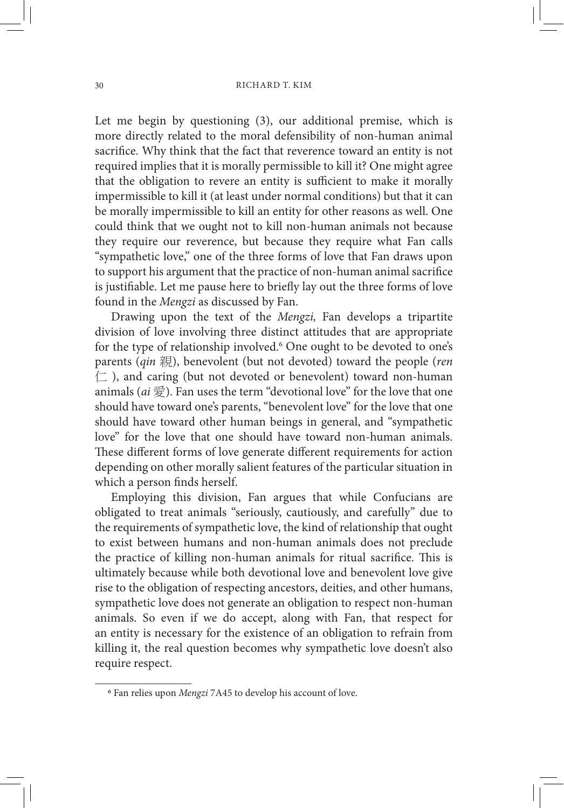Let me begin by questioning (3), our additional premise, which is more directly related to the moral defensibility of non-human animal sacrifice. Why think that the fact that reverence toward an entity is not required implies that it is morally permissible to kill it? One might agree that the obligation to revere an entity is sufficient to make it morally impermissible to kill it (at least under normal conditions) but that it can be morally impermissible to kill an entity for other reasons as well. One could think that we ought not to kill non-human animals not because they require our reverence, but because they require what Fan calls "sympathetic love," one of the three forms of love that Fan draws upon to support his argument that the practice of non-human animal sacrifice is justifiable. Let me pause here to briefly lay out the three forms of love found in the *Mengzi* as discussed by Fan.

Drawing upon the text of the *Mengzi,* Fan develops a tripartite division of love involving three distinct attitudes that are appropriate for the type of relationship involved.<sup>6</sup> One ought to be devoted to one's parents (*qin* 親), benevolent (but not devoted) toward the people (*ren*   $\Box$ ), and caring (but not devoted or benevolent) toward non-human animals (*ai* 愛). Fan uses the term "devotional love" for the love that one should have toward one's parents, "benevolent love" for the love that one should have toward other human beings in general, and "sympathetic love" for the love that one should have toward non-human animals. These different forms of love generate different requirements for action depending on other morally salient features of the particular situation in which a person finds herself.

Employing this division, Fan argues that while Confucians are obligated to treat animals "seriously, cautiously, and carefully" due to the requirements of sympathetic love, the kind of relationship that ought to exist between humans and non-human animals does not preclude the practice of killing non-human animals for ritual sacrifice. This is ultimately because while both devotional love and benevolent love give rise to the obligation of respecting ancestors, deities, and other humans, sympathetic love does not generate an obligation to respect non-human animals. So even if we do accept, along with Fan, that respect for an entity is necessary for the existence of an obligation to refrain from killing it, the real question becomes why sympathetic love doesn't also require respect.

<sup>6</sup> Fan relies upon *Mengzi* 7A45 to develop his account of love.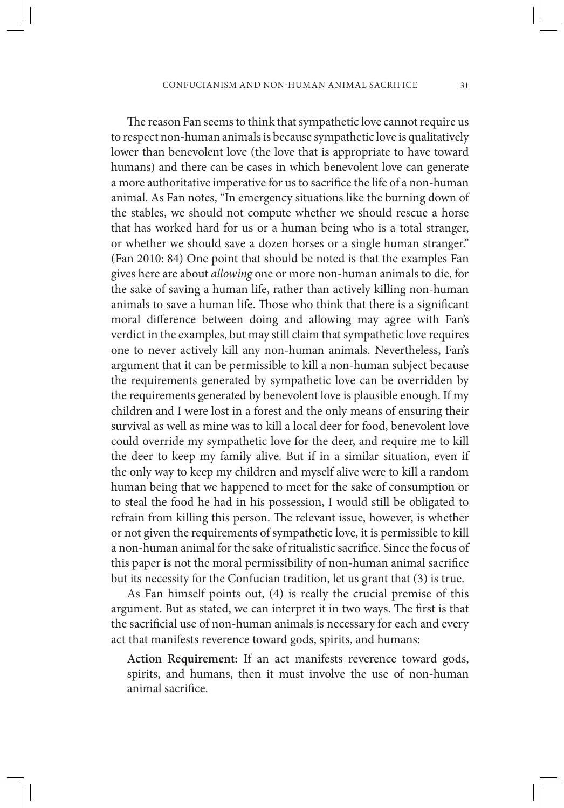The reason Fan seems to think that sympathetic love cannot require us to respect non-human animals is because sympathetic love is qualitatively lower than benevolent love (the love that is appropriate to have toward humans) and there can be cases in which benevolent love can generate a more authoritative imperative for us to sacrifice the life of a non-human animal. As Fan notes, "In emergency situations like the burning down of the stables, we should not compute whether we should rescue a horse that has worked hard for us or a human being who is a total stranger, or whether we should save a dozen horses or a single human stranger." (Fan 2010: 84) One point that should be noted is that the examples Fan gives here are about *allowing* one or more non-human animals to die, for the sake of saving a human life, rather than actively killing non-human animals to save a human life. Those who think that there is a significant moral difference between doing and allowing may agree with Fan's verdict in the examples, but may still claim that sympathetic love requires one to never actively kill any non-human animals. Nevertheless, Fan's argument that it can be permissible to kill a non-human subject because the requirements generated by sympathetic love can be overridden by the requirements generated by benevolent love is plausible enough. If my children and I were lost in a forest and the only means of ensuring their survival as well as mine was to kill a local deer for food, benevolent love could override my sympathetic love for the deer, and require me to kill the deer to keep my family alive. But if in a similar situation, even if the only way to keep my children and myself alive were to kill a random human being that we happened to meet for the sake of consumption or to steal the food he had in his possession, I would still be obligated to refrain from killing this person. The relevant issue, however, is whether or not given the requirements of sympathetic love, it is permissible to kill a non-human animal for the sake of ritualistic sacrifice. Since the focus of this paper is not the moral permissibility of non-human animal sacrifice but its necessity for the Confucian tradition, let us grant that (3) is true.

As Fan himself points out, (4) is really the crucial premise of this argument. But as stated, we can interpret it in two ways. The first is that the sacrificial use of non-human animals is necessary for each and every act that manifests reverence toward gods, spirits, and humans:

**Action Requirement:** If an act manifests reverence toward gods, spirits, and humans, then it must involve the use of non-human animal sacrifice.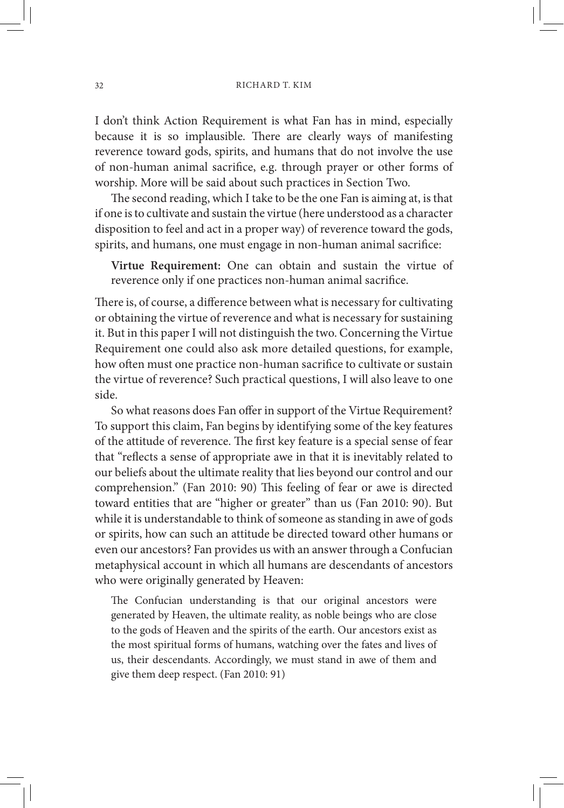I don't think Action Requirement is what Fan has in mind, especially because it is so implausible. There are clearly ways of manifesting reverence toward gods, spirits, and humans that do not involve the use of non-human animal sacrifice, e.g. through prayer or other forms of worship. More will be said about such practices in Section Two.

The second reading, which I take to be the one Fan is aiming at, is that if one is to cultivate and sustain the virtue (here understood as a character disposition to feel and act in a proper way) of reverence toward the gods, spirits, and humans, one must engage in non-human animal sacrifice:

**Virtue Requirement:** One can obtain and sustain the virtue of reverence only if one practices non-human animal sacrifice.

There is, of course, a difference between what is necessary for cultivating or obtaining the virtue of reverence and what is necessary for sustaining it. But in this paper I will not distinguish the two. Concerning the Virtue Requirement one could also ask more detailed questions, for example, how often must one practice non-human sacrifice to cultivate or sustain the virtue of reverence? Such practical questions, I will also leave to one side.

So what reasons does Fan offer in support of the Virtue Requirement? To support this claim, Fan begins by identifying some of the key features of the attitude of reverence. The first key feature is a special sense of fear that "reflects a sense of appropriate awe in that it is inevitably related to our beliefs about the ultimate reality that lies beyond our control and our comprehension." (Fan 2010: 90) This feeling of fear or awe is directed toward entities that are "higher or greater" than us (Fan 2010: 90). But while it is understandable to think of someone as standing in awe of gods or spirits, how can such an attitude be directed toward other humans or even our ancestors? Fan provides us with an answer through a Confucian metaphysical account in which all humans are descendants of ancestors who were originally generated by Heaven:

The Confucian understanding is that our original ancestors were generated by Heaven, the ultimate reality, as noble beings who are close to the gods of Heaven and the spirits of the earth. Our ancestors exist as the most spiritual forms of humans, watching over the fates and lives of us, their descendants. Accordingly, we must stand in awe of them and give them deep respect. (Fan 2010: 91)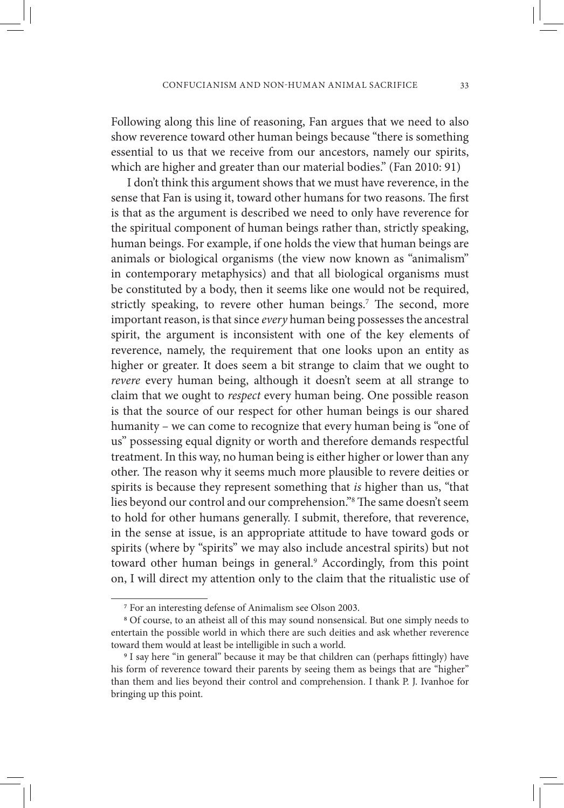Following along this line of reasoning, Fan argues that we need to also show reverence toward other human beings because "there is something essential to us that we receive from our ancestors, namely our spirits, which are higher and greater than our material bodies." (Fan 2010: 91)

I don't think this argument shows that we must have reverence, in the sense that Fan is using it, toward other humans for two reasons. The first is that as the argument is described we need to only have reverence for the spiritual component of human beings rather than, strictly speaking, human beings. For example, if one holds the view that human beings are animals or biological organisms (the view now known as "animalism" in contemporary metaphysics) and that all biological organisms must be constituted by a body, then it seems like one would not be required, strictly speaking, to revere other human beings.<sup>7</sup> The second, more important reason, is that since *every* human being possesses the ancestral spirit, the argument is inconsistent with one of the key elements of reverence, namely, the requirement that one looks upon an entity as higher or greater. It does seem a bit strange to claim that we ought to *revere* every human being, although it doesn't seem at all strange to claim that we ought to *respect* every human being. One possible reason is that the source of our respect for other human beings is our shared humanity – we can come to recognize that every human being is "one of us" possessing equal dignity or worth and therefore demands respectful treatment. In this way, no human being is either higher or lower than any other. The reason why it seems much more plausible to revere deities or spirits is because they represent something that *is* higher than us, "that lies beyond our control and our comprehension."8 The same doesn't seem to hold for other humans generally. I submit, therefore, that reverence, in the sense at issue, is an appropriate attitude to have toward gods or spirits (where by "spirits" we may also include ancestral spirits) but not toward other human beings in general.<sup>9</sup> Accordingly, from this point on, I will direct my attention only to the claim that the ritualistic use of

<sup>7</sup> For an interesting defense of Animalism see Olson 2003.

<sup>8</sup> Of course, to an atheist all of this may sound nonsensical. But one simply needs to entertain the possible world in which there are such deities and ask whether reverence toward them would at least be intelligible in such a world. <sup>9</sup> I say here "in general" because it may be that children can (perhaps fittingly) have

his form of reverence toward their parents by seeing them as beings that are "higher" than them and lies beyond their control and comprehension. I thank P. J. Ivanhoe for bringing up this point.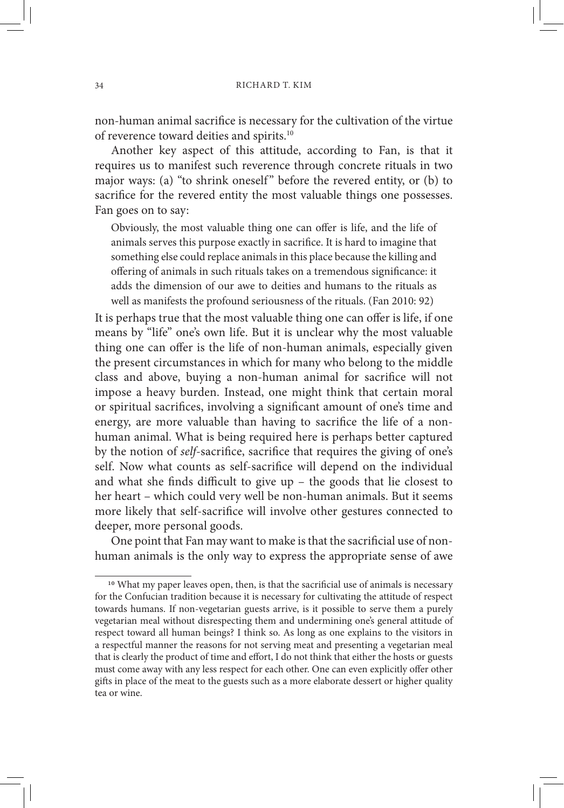non-human animal sacrifice is necessary for the cultivation of the virtue of reverence toward deities and spirits.10

Another key aspect of this attitude, according to Fan, is that it requires us to manifest such reverence through concrete rituals in two major ways: (a) "to shrink oneself" before the revered entity, or (b) to sacrifice for the revered entity the most valuable things one possesses. Fan goes on to say:

Obviously, the most valuable thing one can offer is life, and the life of animals serves this purpose exactly in sacrifice. It is hard to imagine that something else could replace animals in this place because the killing and offering of animals in such rituals takes on a tremendous significance: it adds the dimension of our awe to deities and humans to the rituals as well as manifests the profound seriousness of the rituals. (Fan 2010: 92)

It is perhaps true that the most valuable thing one can offer is life, if one means by "life" one's own life. But it is unclear why the most valuable thing one can offer is the life of non-human animals, especially given the present circumstances in which for many who belong to the middle class and above, buying a non-human animal for sacrifice will not impose a heavy burden. Instead, one might think that certain moral or spiritual sacrifices, involving a significant amount of one's time and energy, are more valuable than having to sacrifice the life of a nonhuman animal. What is being required here is perhaps better captured by the notion of *self*-sacrifice, sacrifice that requires the giving of one's self. Now what counts as self-sacrifice will depend on the individual and what she finds difficult to give up – the goods that lie closest to her heart – which could very well be non-human animals. But it seems more likely that self-sacrifice will involve other gestures connected to deeper, more personal goods.

One point that Fan may want to make is that the sacrificial use of nonhuman animals is the only way to express the appropriate sense of awe

<sup>&</sup>lt;sup>10</sup> What my paper leaves open, then, is that the sacrificial use of animals is necessary for the Confucian tradition because it is necessary for cultivating the attitude of respect towards humans. If non-vegetarian guests arrive, is it possible to serve them a purely vegetarian meal without disrespecting them and undermining one's general attitude of respect toward all human beings? I think so. As long as one explains to the visitors in a respectful manner the reasons for not serving meat and presenting a vegetarian meal that is clearly the product of time and effort, I do not think that either the hosts or guests must come away with any less respect for each other. One can even explicitly offer other gifts in place of the meat to the guests such as a more elaborate dessert or higher quality tea or wine.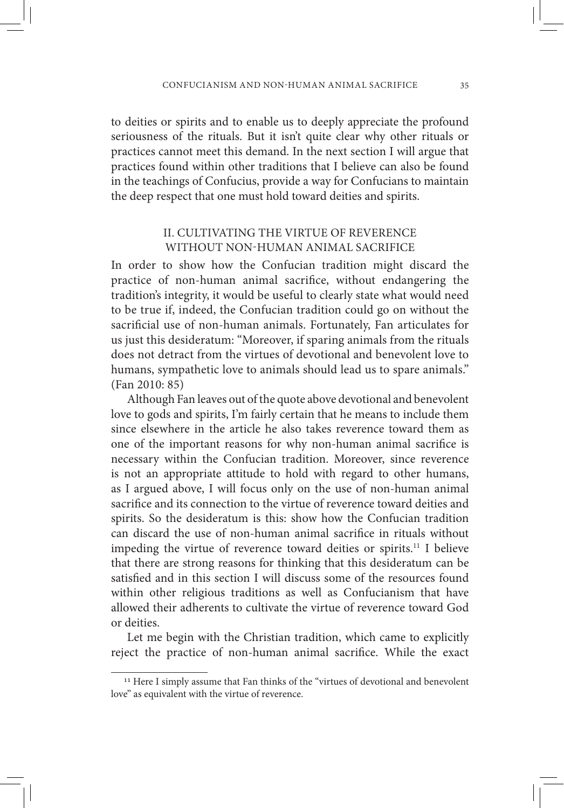to deities or spirits and to enable us to deeply appreciate the profound seriousness of the rituals. But it isn't quite clear why other rituals or practices cannot meet this demand. In the next section I will argue that practices found within other traditions that I believe can also be found in the teachings of Confucius, provide a way for Confucians to maintain the deep respect that one must hold toward deities and spirits.

# II. CULTIVATING THE VIRTUE OF REVERENCE WITHOUT NON-HUMAN ANIMAL SACRIFICE

In order to show how the Confucian tradition might discard the practice of non-human animal sacrifice, without endangering the tradition's integrity, it would be useful to clearly state what would need to be true if, indeed, the Confucian tradition could go on without the sacrificial use of non-human animals. Fortunately, Fan articulates for us just this desideratum: "Moreover, if sparing animals from the rituals does not detract from the virtues of devotional and benevolent love to humans, sympathetic love to animals should lead us to spare animals." (Fan 2010: 85)

Although Fan leaves out of the quote above devotional and benevolent love to gods and spirits, I'm fairly certain that he means to include them since elsewhere in the article he also takes reverence toward them as one of the important reasons for why non-human animal sacrifice is necessary within the Confucian tradition. Moreover, since reverence is not an appropriate attitude to hold with regard to other humans, as I argued above, I will focus only on the use of non-human animal sacrifice and its connection to the virtue of reverence toward deities and spirits. So the desideratum is this: show how the Confucian tradition can discard the use of non-human animal sacrifice in rituals without impeding the virtue of reverence toward deities or spirits.<sup>11</sup> I believe that there are strong reasons for thinking that this desideratum can be satisfied and in this section I will discuss some of the resources found within other religious traditions as well as Confucianism that have allowed their adherents to cultivate the virtue of reverence toward God or deities.

Let me begin with the Christian tradition, which came to explicitly reject the practice of non-human animal sacrifice. While the exact

<sup>&</sup>lt;sup>11</sup> Here I simply assume that Fan thinks of the "virtues of devotional and benevolent love" as equivalent with the virtue of reverence.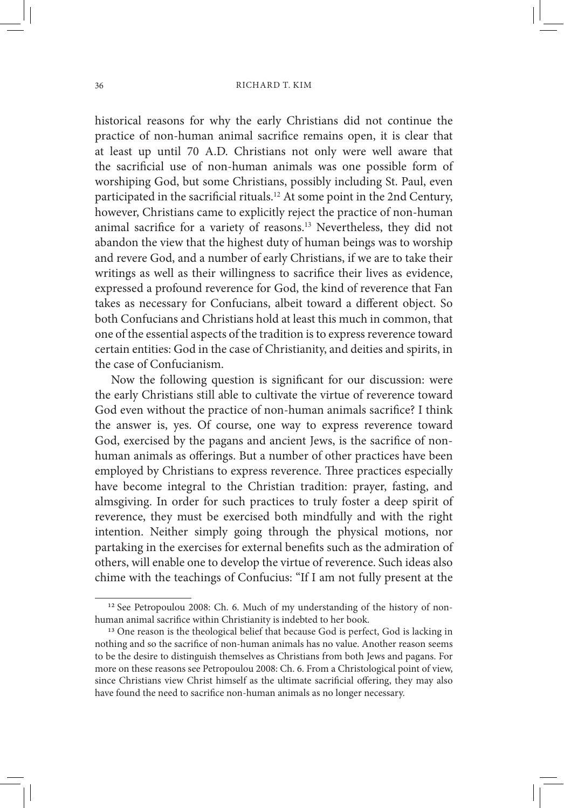historical reasons for why the early Christians did not continue the practice of non-human animal sacrifice remains open, it is clear that at least up until 70 A.D. Christians not only were well aware that the sacrificial use of non-human animals was one possible form of worshiping God, but some Christians, possibly including St. Paul, even participated in the sacrificial rituals.12 At some point in the 2nd Century, however, Christians came to explicitly reject the practice of non-human animal sacrifice for a variety of reasons.13 Nevertheless, they did not abandon the view that the highest duty of human beings was to worship and revere God, and a number of early Christians, if we are to take their writings as well as their willingness to sacrifice their lives as evidence, expressed a profound reverence for God, the kind of reverence that Fan takes as necessary for Confucians, albeit toward a different object. So both Confucians and Christians hold at least this much in common, that one of the essential aspects of the tradition is to express reverence toward certain entities: God in the case of Christianity, and deities and spirits, in the case of Confucianism.

Now the following question is significant for our discussion: were the early Christians still able to cultivate the virtue of reverence toward God even without the practice of non-human animals sacrifice? I think the answer is, yes. Of course, one way to express reverence toward God, exercised by the pagans and ancient Jews, is the sacrifice of nonhuman animals as offerings. But a number of other practices have been employed by Christians to express reverence. Three practices especially have become integral to the Christian tradition: prayer, fasting, and almsgiving. In order for such practices to truly foster a deep spirit of reverence, they must be exercised both mindfully and with the right intention. Neither simply going through the physical motions, nor partaking in the exercises for external benefits such as the admiration of others, will enable one to develop the virtue of reverence. Such ideas also chime with the teachings of Confucius: "If I am not fully present at the

<sup>&</sup>lt;sup>12</sup> See Petropoulou 2008: Ch. 6. Much of my understanding of the history of non-<br>human animal sacrifice within Christianity is indebted to her book.

<sup>&</sup>lt;sup>13</sup> One reason is the theological belief that because God is perfect, God is lacking in nothing and so the sacrifice of non-human animals has no value. Another reason seems to be the desire to distinguish themselves as Christians from both Jews and pagans. For more on these reasons see Petropoulou 2008: Ch. 6. From a Christological point of view, since Christians view Christ himself as the ultimate sacrificial offering, they may also have found the need to sacrifice non-human animals as no longer necessary.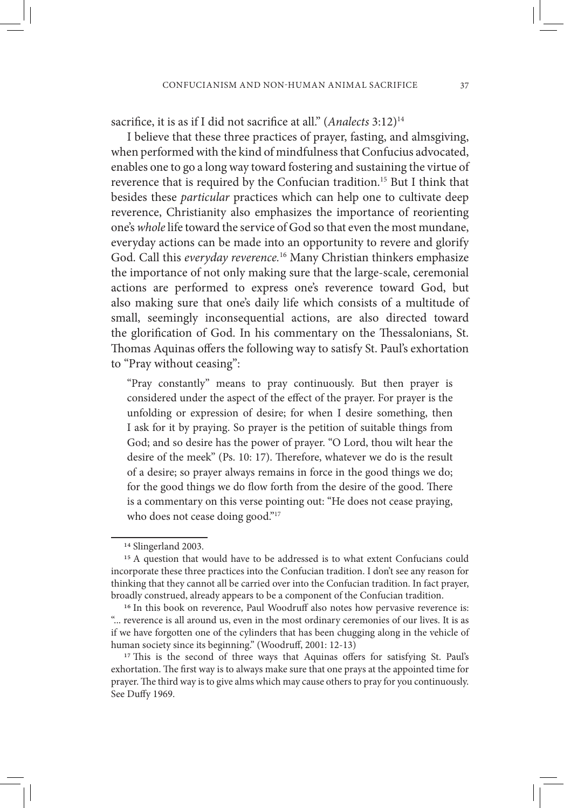sacrifice, it is as if I did not sacrifice at all." (*Analects* 3:12)14

I believe that these three practices of prayer, fasting, and almsgiving, when performed with the kind of mindfulness that Confucius advocated, enables one to go a long way toward fostering and sustaining the virtue of reverence that is required by the Confucian tradition.15 But I think that besides these *particular* practices which can help one to cultivate deep reverence, Christianity also emphasizes the importance of reorienting one's *whole* life toward the service of God so that even the most mundane, everyday actions can be made into an opportunity to revere and glorify God. Call this *everyday reverence.*<sup>16</sup> Many Christian thinkers emphasize the importance of not only making sure that the large-scale, ceremonial actions are performed to express one's reverence toward God, but also making sure that one's daily life which consists of a multitude of small, seemingly inconsequential actions, are also directed toward the glorification of God. In his commentary on the Thessalonians, St. Thomas Aquinas offers the following way to satisfy St. Paul's exhortation to "Pray without ceasing":

"Pray constantly" means to pray continuously. But then prayer is considered under the aspect of the effect of the prayer. For prayer is the unfolding or expression of desire; for when I desire something, then I ask for it by praying. So prayer is the petition of suitable things from God; and so desire has the power of prayer. "O Lord, thou wilt hear the desire of the meek" (Ps. 10: 17). Therefore, whatever we do is the result of a desire; so prayer always remains in force in the good things we do; for the good things we do flow forth from the desire of the good. There is a commentary on this verse pointing out: "He does not cease praying, who does not cease doing good."<sup>17</sup>

<sup>16</sup> In this book on reverence, Paul Woodruff also notes how pervasive reverence is: "... reverence is all around us, even in the most ordinary ceremonies of our lives. It is as if we have forgotten one of the cylinders that has been chugging along in the vehicle of human society since its beginning." (Woodruff, 2001: 12-13)<br><sup>17</sup> This is the second of three ways that Aquinas offers for satisfying St. Paul's

exhortation. The first way is to always make sure that one prays at the appointed time for prayer. The third way is to give alms which may cause others to pray for you continuously. See Duffy 1969.

<sup>14</sup> Slingerland 2003.

<sup>&</sup>lt;sup>15</sup> A question that would have to be addressed is to what extent Confucians could incorporate these three practices into the Confucian tradition. I don't see any reason for thinking that they cannot all be carried over into the Confucian tradition. In fact prayer, broadly construed, already appears to be a component of the Confucian tradition.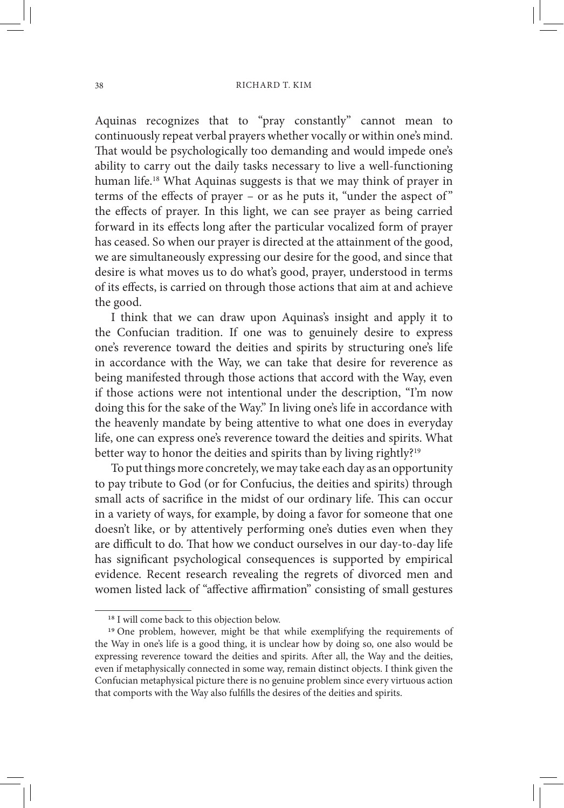Aquinas recognizes that to "pray constantly" cannot mean to continuously repeat verbal prayers whether vocally or within one's mind. That would be psychologically too demanding and would impede one's ability to carry out the daily tasks necessary to live a well-functioning human life.<sup>18</sup> What Aquinas suggests is that we may think of prayer in terms of the effects of prayer – or as he puts it, "under the aspect of " the effects of prayer. In this light, we can see prayer as being carried forward in its effects long after the particular vocalized form of prayer has ceased. So when our prayer is directed at the attainment of the good, we are simultaneously expressing our desire for the good, and since that desire is what moves us to do what's good, prayer, understood in terms of its effects, is carried on through those actions that aim at and achieve the good.

I think that we can draw upon Aquinas's insight and apply it to the Confucian tradition. If one was to genuinely desire to express one's reverence toward the deities and spirits by structuring one's life in accordance with the Way, we can take that desire for reverence as being manifested through those actions that accord with the Way, even if those actions were not intentional under the description, "I'm now doing this for the sake of the Way." In living one's life in accordance with the heavenly mandate by being attentive to what one does in everyday life, one can express one's reverence toward the deities and spirits. What better way to honor the deities and spirits than by living rightly?<sup>19</sup>

To put things more concretely, we may take each day as an opportunity to pay tribute to God (or for Confucius, the deities and spirits) through small acts of sacrifice in the midst of our ordinary life. This can occur in a variety of ways, for example, by doing a favor for someone that one doesn't like, or by attentively performing one's duties even when they are difficult to do. That how we conduct ourselves in our day-to-day life has significant psychological consequences is supported by empirical evidence. Recent research revealing the regrets of divorced men and women listed lack of "affective affirmation" consisting of small gestures

<sup>18</sup> I will come back to this objection below.

<sup>19</sup> One problem, however, might be that while exemplifying the requirements of the Way in one's life is a good thing, it is unclear how by doing so, one also would be expressing reverence toward the deities and spirits. After all, the Way and the deities, even if metaphysically connected in some way, remain distinct objects. I think given the Confucian metaphysical picture there is no genuine problem since every virtuous action that comports with the Way also fulfills the desires of the deities and spirits.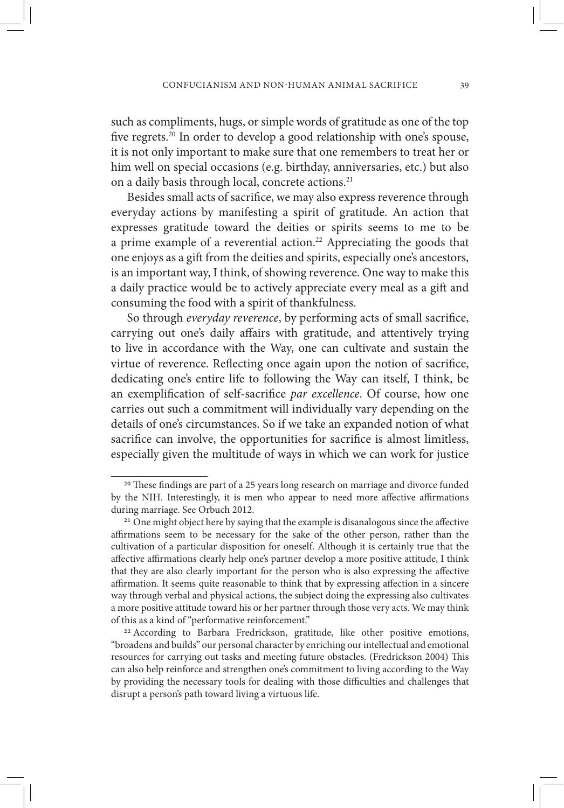such as compliments, hugs, or simple words of gratitude as one of the top five regrets.<sup>20</sup> In order to develop a good relationship with one's spouse, it is not only important to make sure that one remembers to treat her or him well on special occasions (e.g. birthday, anniversaries, etc.) but also on a daily basis through local, concrete actions.<sup>21</sup>

Besides small acts of sacrifice, we may also express reverence through everyday actions by manifesting a spirit of gratitude. An action that expresses gratitude toward the deities or spirits seems to me to be a prime example of a reverential action.<sup>22</sup> Appreciating the goods that one enjoys as a gift from the deities and spirits, especially one's ancestors, is an important way, I think, of showing reverence. One way to make this a daily practice would be to actively appreciate every meal as a gift and consuming the food with a spirit of thankfulness.

So through *everyday reverence*, by performing acts of small sacrifice, carrying out one's daily affairs with gratitude, and attentively trying to live in accordance with the Way, one can cultivate and sustain the virtue of reverence. Reflecting once again upon the notion of sacrifice, dedicating one's entire life to following the Way can itself, I think, be an exemplification of self-sacrifice *par excellence*. Of course, how one carries out such a commitment will individually vary depending on the details of one's circumstances. So if we take an expanded notion of what sacrifice can involve, the opportunities for sacrifice is almost limitless, especially given the multitude of ways in which we can work for justice

<sup>20</sup> These findings are part of a 25 years long research on marriage and divorce funded by the NIH. Interestingly, it is men who appear to need more affective affirmations during marriage. See Orbuch 2012.<br><sup>21</sup> One might object here by saying that the example is disanalogous since the affective

affirmations seem to be necessary for the sake of the other person, rather than the cultivation of a particular disposition for oneself. Although it is certainly true that the affective affirmations clearly help one's partner develop a more positive attitude, I think that they are also clearly important for the person who is also expressing the affective affirmation. It seems quite reasonable to think that by expressing affection in a sincere way through verbal and physical actions, the subject doing the expressing also cultivates a more positive attitude toward his or her partner through those very acts. We may think of this as a kind of "performative reinforcement." <sup>22</sup> According to Barbara Fredrickson, gratitude, like other positive emotions,

<sup>&</sup>quot;broadens and builds" our personal character by enriching our intellectual and emotional resources for carrying out tasks and meeting future obstacles. (Fredrickson 2004) This can also help reinforce and strengthen one's commitment to living according to the Way by providing the necessary tools for dealing with those difficulties and challenges that disrupt a person's path toward living a virtuous life.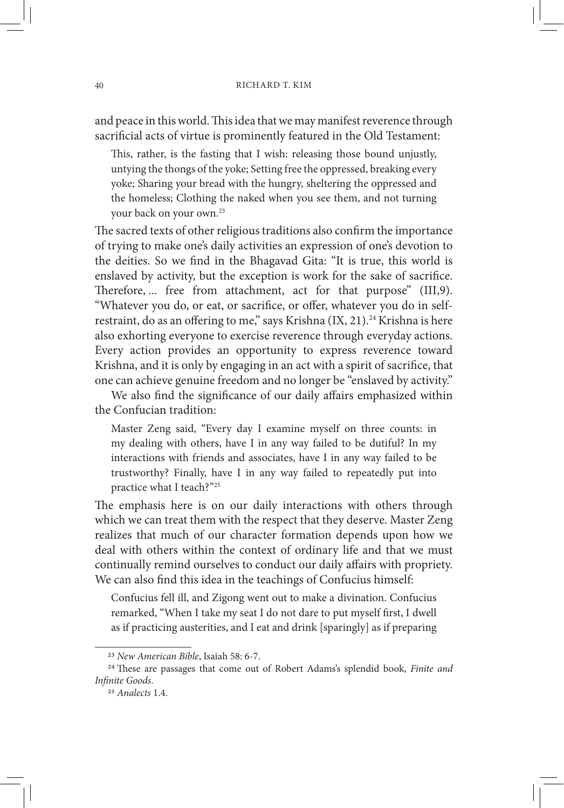and peace in this world. This idea that we may manifest reverence through sacrificial acts of virtue is prominently featured in the Old Testament:

This, rather, is the fasting that I wish: releasing those bound unjustly, untying the thongs of the yoke; Setting free the oppressed, breaking every yoke; Sharing your bread with the hungry, sheltering the oppressed and the homeless; Clothing the naked when you see them, and not turning your back on your own.23

The sacred texts of other religious traditions also confirm the importance of trying to make one's daily activities an expression of one's devotion to the deities. So we find in the Bhagavad Gita: "It is true, this world is enslaved by activity, but the exception is work for the sake of sacrifice. Therefore, ... free from attachment, act for that purpose" (III,9). "Whatever you do, or eat, or sacrifice, or offer, whatever you do in selfrestraint, do as an offering to me," says Krishna (IX, 21).<sup>24</sup> Krishna is here also exhorting everyone to exercise reverence through everyday actions. Every action provides an opportunity to express reverence toward Krishna, and it is only by engaging in an act with a spirit of sacrifice, that one can achieve genuine freedom and no longer be "enslaved by activity."

We also find the significance of our daily affairs emphasized within the Confucian tradition:

Master Zeng said, "Every day I examine myself on three counts: in my dealing with others, have I in any way failed to be dutiful? In my interactions with friends and associates, have I in any way failed to be trustworthy? Finally, have I in any way failed to repeatedly put into practice what I teach?"25

The emphasis here is on our daily interactions with others through which we can treat them with the respect that they deserve. Master Zeng realizes that much of our character formation depends upon how we deal with others within the context of ordinary life and that we must continually remind ourselves to conduct our daily affairs with propriety. We can also find this idea in the teachings of Confucius himself:

Confucius fell ill, and Zigong went out to make a divination. Confucius remarked, "When I take my seat I do not dare to put myself first, I dwell as if practicing austerities, and I eat and drink [sparingly] as if preparing

<sup>23</sup> *New American Bible*, Isaiah 58: 6-7. <sup>24</sup> These are passages that come out of Robert Adams's splendid book, *Finite and Infinite Goods*. <sup>25</sup> *Analects* 1.4.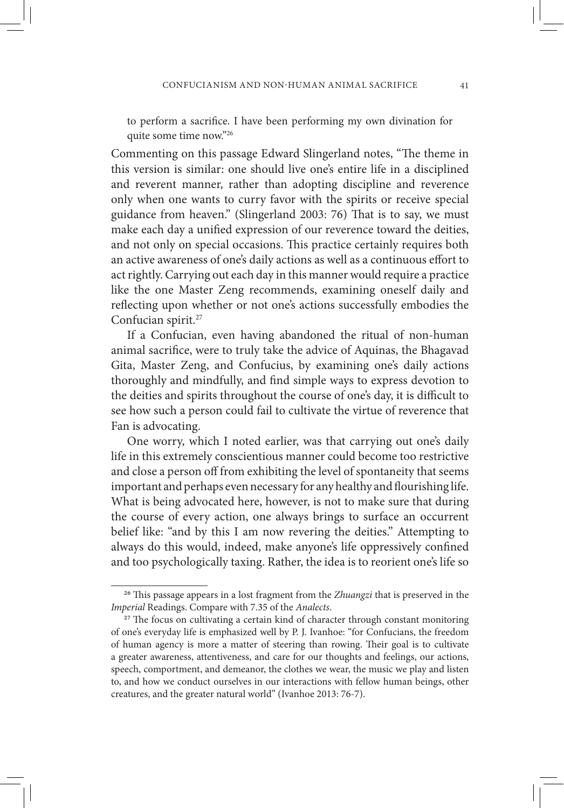to perform a sacrifice. I have been performing my own divination for quite some time now."26

Commenting on this passage Edward Slingerland notes, "The theme in this version is similar: one should live one's entire life in a disciplined and reverent manner, rather than adopting discipline and reverence only when one wants to curry favor with the spirits or receive special guidance from heaven." (Slingerland 2003: 76) That is to say, we must make each day a unified expression of our reverence toward the deities, and not only on special occasions. This practice certainly requires both an active awareness of one's daily actions as well as a continuous effort to act rightly. Carrying out each day in this manner would require a practice like the one Master Zeng recommends, examining oneself daily and reflecting upon whether or not one's actions successfully embodies the Confucian spirit.<sup>27</sup>

If a Confucian, even having abandoned the ritual of non-human animal sacrifice, were to truly take the advice of Aquinas, the Bhagavad Gita, Master Zeng, and Confucius, by examining one's daily actions thoroughly and mindfully, and find simple ways to express devotion to the deities and spirits throughout the course of one's day, it is difficult to see how such a person could fail to cultivate the virtue of reverence that Fan is advocating.

One worry, which I noted earlier, was that carrying out one's daily life in this extremely conscientious manner could become too restrictive and close a person off from exhibiting the level of spontaneity that seems important and perhaps even necessary for any healthy and flourishing life. What is being advocated here, however, is not to make sure that during the course of every action, one always brings to surface an occurrent belief like: "and by this I am now revering the deities." Attempting to always do this would, indeed, make anyone's life oppressively confined and too psychologically taxing. Rather, the idea is to reorient one's life so

<sup>26</sup> This passage appears in a lost fragment from the *Zhuangzi* that is preserved in the *Imperial Readings. Compare with 7.35 of the <i>Analects*.<br><sup>27</sup> The focus on cultivating a certain kind of character through constant monitoring

of one's everyday life is emphasized well by P. J. Ivanhoe: "for Confucians, the freedom of human agency is more a matter of steering than rowing. Their goal is to cultivate a greater awareness, attentiveness, and care for our thoughts and feelings, our actions, speech, comportment, and demeanor, the clothes we wear, the music we play and listen to, and how we conduct ourselves in our interactions with fellow human beings, other creatures, and the greater natural world" (Ivanhoe 2013: 76-7).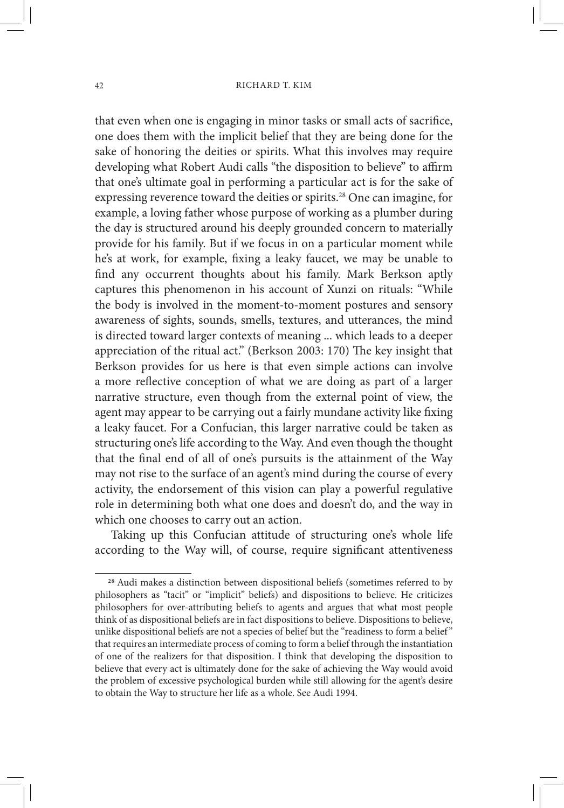that even when one is engaging in minor tasks or small acts of sacrifice, one does them with the implicit belief that they are being done for the sake of honoring the deities or spirits. What this involves may require developing what Robert Audi calls "the disposition to believe" to affirm that one's ultimate goal in performing a particular act is for the sake of expressing reverence toward the deities or spirits.<sup>28</sup> One can imagine, for example, a loving father whose purpose of working as a plumber during the day is structured around his deeply grounded concern to materially provide for his family. But if we focus in on a particular moment while he's at work, for example, fixing a leaky faucet, we may be unable to find any occurrent thoughts about his family. Mark Berkson aptly captures this phenomenon in his account of Xunzi on rituals: "While the body is involved in the moment-to-moment postures and sensory awareness of sights, sounds, smells, textures, and utterances, the mind is directed toward larger contexts of meaning ... which leads to a deeper appreciation of the ritual act." (Berkson 2003: 170) The key insight that Berkson provides for us here is that even simple actions can involve a more reflective conception of what we are doing as part of a larger narrative structure, even though from the external point of view, the agent may appear to be carrying out a fairly mundane activity like fixing a leaky faucet. For a Confucian, this larger narrative could be taken as structuring one's life according to the Way. And even though the thought that the final end of all of one's pursuits is the attainment of the Way may not rise to the surface of an agent's mind during the course of every activity, the endorsement of this vision can play a powerful regulative role in determining both what one does and doesn't do, and the way in which one chooses to carry out an action.

Taking up this Confucian attitude of structuring one's whole life according to the Way will, of course, require significant attentiveness

<sup>28</sup> Audi makes a distinction between dispositional beliefs (sometimes referred to by philosophers as "tacit" or "implicit" beliefs) and dispositions to believe. He criticizes philosophers for over-attributing beliefs to agents and argues that what most people think of as dispositional beliefs are in fact dispositions to believe. Dispositions to believe, unlike dispositional beliefs are not a species of belief but the "readiness to form a belief " that requires an intermediate process of coming to form a belief through the instantiation of one of the realizers for that disposition. I think that developing the disposition to believe that every act is ultimately done for the sake of achieving the Way would avoid the problem of excessive psychological burden while still allowing for the agent's desire to obtain the Way to structure her life as a whole. See Audi 1994.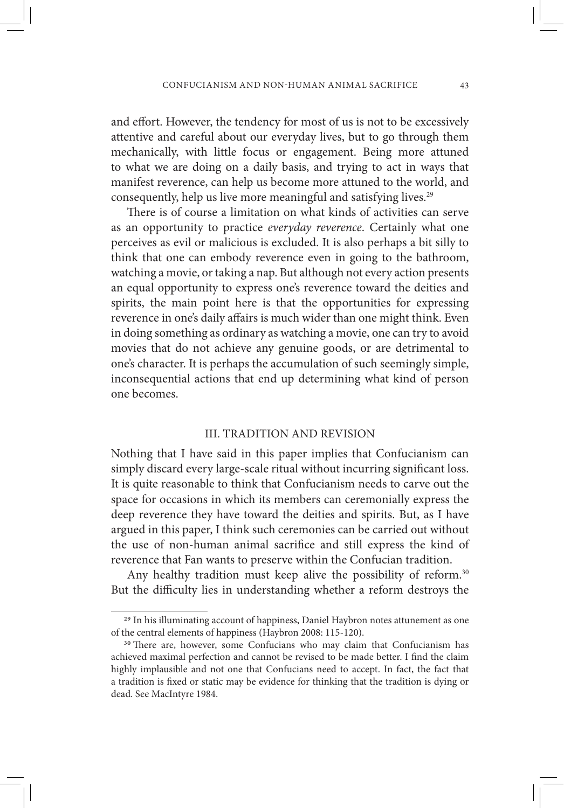and effort. However, the tendency for most of us is not to be excessively attentive and careful about our everyday lives, but to go through them mechanically, with little focus or engagement. Being more attuned to what we are doing on a daily basis, and trying to act in ways that manifest reverence, can help us become more attuned to the world, and consequently, help us live more meaningful and satisfying lives.<sup>29</sup>

There is of course a limitation on what kinds of activities can serve as an opportunity to practice *everyday reverence*. Certainly what one perceives as evil or malicious is excluded. It is also perhaps a bit silly to think that one can embody reverence even in going to the bathroom, watching a movie, or taking a nap. But although not every action presents an equal opportunity to express one's reverence toward the deities and spirits, the main point here is that the opportunities for expressing reverence in one's daily affairs is much wider than one might think. Even in doing something as ordinary as watching a movie, one can try to avoid movies that do not achieve any genuine goods, or are detrimental to one's character. It is perhaps the accumulation of such seemingly simple, inconsequential actions that end up determining what kind of person one becomes.

### III. TRADITION AND REVISION

Nothing that I have said in this paper implies that Confucianism can simply discard every large-scale ritual without incurring significant loss. It is quite reasonable to think that Confucianism needs to carve out the space for occasions in which its members can ceremonially express the deep reverence they have toward the deities and spirits. But, as I have argued in this paper, I think such ceremonies can be carried out without the use of non-human animal sacrifice and still express the kind of reverence that Fan wants to preserve within the Confucian tradition.

Any healthy tradition must keep alive the possibility of reform.<sup>30</sup> But the difficulty lies in understanding whether a reform destroys the

<sup>29</sup> In his illuminating account of happiness, Daniel Haybron notes attunement as one of the central elements of happiness (Haybron 2008: 115-120). <sup>30</sup> There are, however, some Confucians who may claim that Confucianism has

achieved maximal perfection and cannot be revised to be made better. I find the claim highly implausible and not one that Confucians need to accept. In fact, the fact that a tradition is fixed or static may be evidence for thinking that the tradition is dying or dead. See MacIntyre 1984.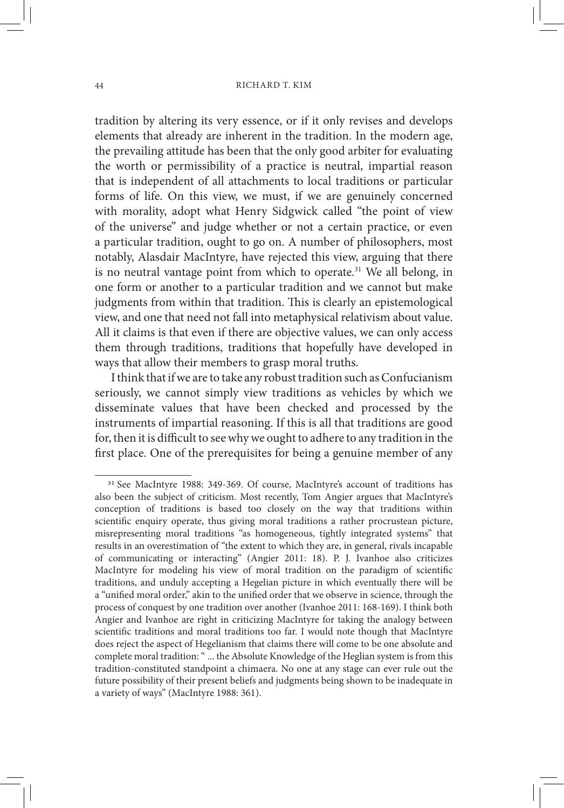tradition by altering its very essence, or if it only revises and develops elements that already are inherent in the tradition. In the modern age, the prevailing attitude has been that the only good arbiter for evaluating the worth or permissibility of a practice is neutral, impartial reason that is independent of all attachments to local traditions or particular forms of life. On this view, we must, if we are genuinely concerned with morality, adopt what Henry Sidgwick called "the point of view of the universe" and judge whether or not a certain practice, or even a particular tradition, ought to go on. A number of philosophers, most notably, Alasdair MacIntyre, have rejected this view, arguing that there is no neutral vantage point from which to operate.<sup>31</sup> We all belong, in one form or another to a particular tradition and we cannot but make judgments from within that tradition. This is clearly an epistemological view, and one that need not fall into metaphysical relativism about value. All it claims is that even if there are objective values, we can only access them through traditions, traditions that hopefully have developed in ways that allow their members to grasp moral truths.

I think that if we are to take any robust tradition such as Confucianism seriously, we cannot simply view traditions as vehicles by which we disseminate values that have been checked and processed by the instruments of impartial reasoning. If this is all that traditions are good for, then it is difficult to see why we ought to adhere to any tradition in the first place. One of the prerequisites for being a genuine member of any

<sup>31</sup> See MacIntyre 1988: 349-369. Of course, MacIntyre's account of traditions has also been the subject of criticism. Most recently, Tom Angier argues that MacIntyre's conception of traditions is based too closely on the way that traditions within scientific enquiry operate, thus giving moral traditions a rather procrustean picture, misrepresenting moral traditions "as homogeneous, tightly integrated systems" that results in an overestimation of "the extent to which they are, in general, rivals incapable of communicating or interacting" (Angier 2011: 18). P. J. Ivanhoe also criticizes MacIntyre for modeling his view of moral tradition on the paradigm of scientific traditions, and unduly accepting a Hegelian picture in which eventually there will be a "unified moral order," akin to the unified order that we observe in science, through the process of conquest by one tradition over another (Ivanhoe 2011: 168-169). I think both Angier and Ivanhoe are right in criticizing MacIntyre for taking the analogy between scientific traditions and moral traditions too far. I would note though that MacIntyre does reject the aspect of Hegelianism that claims there will come to be one absolute and complete moral tradition: " ... the Absolute Knowledge of the Heglian system is from this tradition-constituted standpoint a chimaera. No one at any stage can ever rule out the future possibility of their present beliefs and judgments being shown to be inadequate in a variety of ways" (MacIntyre 1988: 361).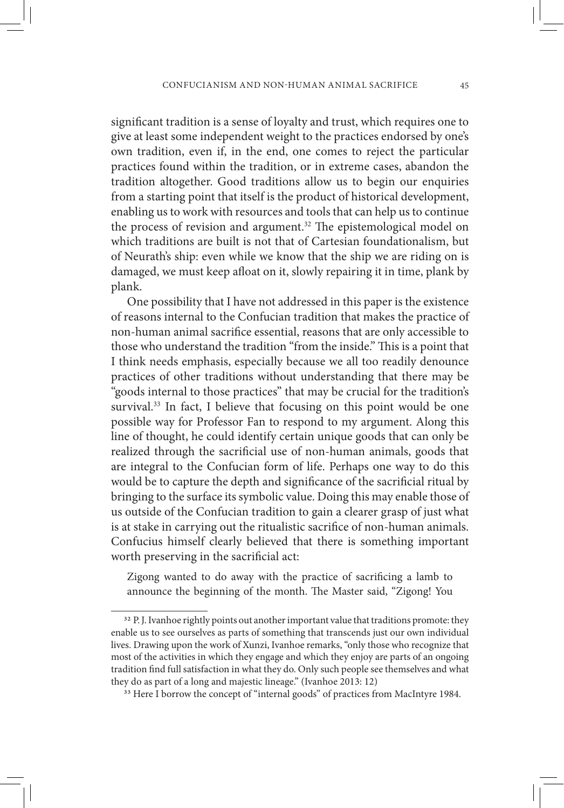significant tradition is a sense of loyalty and trust, which requires one to give at least some independent weight to the practices endorsed by one's own tradition, even if, in the end, one comes to reject the particular practices found within the tradition, or in extreme cases, abandon the tradition altogether. Good traditions allow us to begin our enquiries from a starting point that itself is the product of historical development, enabling us to work with resources and tools that can help us to continue the process of revision and argument.<sup>32</sup> The epistemological model on which traditions are built is not that of Cartesian foundationalism, but of Neurath's ship: even while we know that the ship we are riding on is damaged, we must keep afloat on it, slowly repairing it in time, plank by plank.

One possibility that I have not addressed in this paper is the existence of reasons internal to the Confucian tradition that makes the practice of non-human animal sacrifice essential, reasons that are only accessible to those who understand the tradition "from the inside." This is a point that I think needs emphasis, especially because we all too readily denounce practices of other traditions without understanding that there may be "goods internal to those practices" that may be crucial for the tradition's survival.<sup>33</sup> In fact, I believe that focusing on this point would be one possible way for Professor Fan to respond to my argument. Along this line of thought, he could identify certain unique goods that can only be realized through the sacrificial use of non-human animals, goods that are integral to the Confucian form of life. Perhaps one way to do this would be to capture the depth and significance of the sacrificial ritual by bringing to the surface its symbolic value. Doing this may enable those of us outside of the Confucian tradition to gain a clearer grasp of just what is at stake in carrying out the ritualistic sacrifice of non-human animals. Confucius himself clearly believed that there is something important worth preserving in the sacrificial act:

Zigong wanted to do away with the practice of sacrificing a lamb to announce the beginning of the month. The Master said, "Zigong! You

<sup>&</sup>lt;sup>32</sup> P. J. Ivanhoe rightly points out another important value that traditions promote: they enable us to see ourselves as parts of something that transcends just our own individual lives. Drawing upon the work of Xunzi, Ivanhoe remarks, "only those who recognize that most of the activities in which they engage and which they enjoy are parts of an ongoing tradition find full satisfaction in what they do. Only such people see themselves and what they do as part of a long and majestic lineage." (Ivanhoe 2013: 12)<br><sup>33</sup> Here I borrow the concept of "internal goods" of practices from MacIntyre 1984.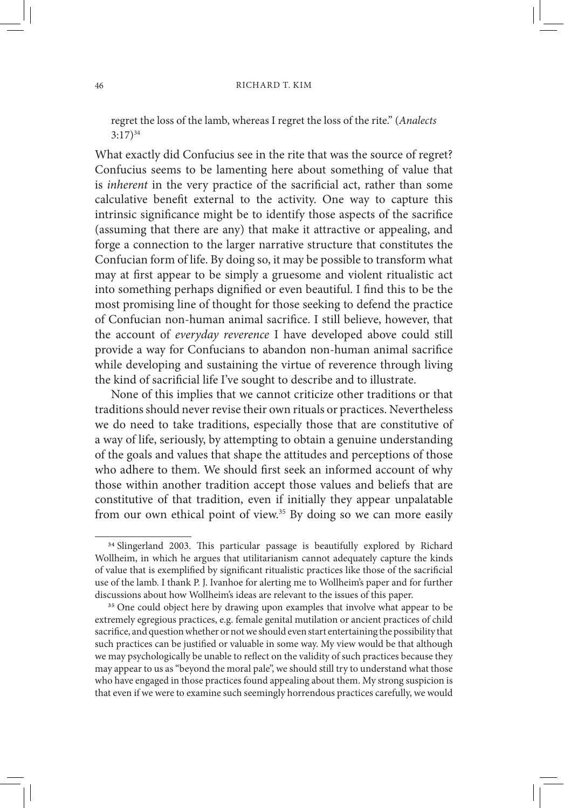regret the loss of the lamb, whereas I regret the loss of the rite." (*Analects*  $3:17)^{34}$ 

What exactly did Confucius see in the rite that was the source of regret? Confucius seems to be lamenting here about something of value that is *inherent* in the very practice of the sacrificial act, rather than some calculative benefit external to the activity. One way to capture this intrinsic significance might be to identify those aspects of the sacrifice (assuming that there are any) that make it attractive or appealing, and forge a connection to the larger narrative structure that constitutes the Confucian form of life. By doing so, it may be possible to transform what may at first appear to be simply a gruesome and violent ritualistic act into something perhaps dignified or even beautiful. I find this to be the most promising line of thought for those seeking to defend the practice of Confucian non-human animal sacrifice. I still believe, however, that the account of *everyday reverence* I have developed above could still provide a way for Confucians to abandon non-human animal sacrifice while developing and sustaining the virtue of reverence through living the kind of sacrificial life I've sought to describe and to illustrate.

None of this implies that we cannot criticize other traditions or that traditions should never revise their own rituals or practices. Nevertheless we do need to take traditions, especially those that are constitutive of a way of life, seriously, by attempting to obtain a genuine understanding of the goals and values that shape the attitudes and perceptions of those who adhere to them. We should first seek an informed account of why those within another tradition accept those values and beliefs that are constitutive of that tradition, even if initially they appear unpalatable from our own ethical point of view.<sup>35</sup> By doing so we can more easily

<sup>34</sup> Slingerland 2003. This particular passage is beautifully explored by Richard Wollheim, in which he argues that utilitarianism cannot adequately capture the kinds of value that is exemplified by significant ritualistic practices like those of the sacrificial use of the lamb. I thank P. J. Ivanhoe for alerting me to Wollheim's paper and for further discussions about how Wollheim's ideas are relevant to the issues of this paper.

<sup>&</sup>lt;sup>35</sup> One could object here by drawing upon examples that involve what appear to be extremely egregious practices, e.g. female genital mutilation or ancient practices of child sacrifice, and question whether or not we should even start entertaining the possibility that such practices can be justified or valuable in some way. My view would be that although we may psychologically be unable to reflect on the validity of such practices because they may appear to us as "beyond the moral pale", we should still try to understand what those who have engaged in those practices found appealing about them. My strong suspicion is that even if we were to examine such seemingly horrendous practices carefully, we would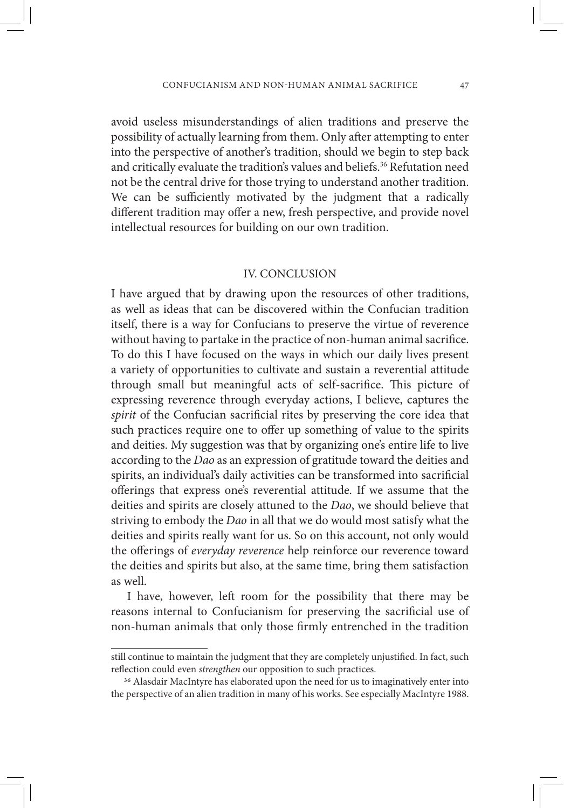avoid useless misunderstandings of alien traditions and preserve the possibility of actually learning from them. Only after attempting to enter into the perspective of another's tradition, should we begin to step back and critically evaluate the tradition's values and beliefs.<sup>36</sup> Refutation need not be the central drive for those trying to understand another tradition. We can be sufficiently motivated by the judgment that a radically different tradition may offer a new, fresh perspective, and provide novel intellectual resources for building on our own tradition.

#### IV. CONCLUSION

I have argued that by drawing upon the resources of other traditions, as well as ideas that can be discovered within the Confucian tradition itself, there is a way for Confucians to preserve the virtue of reverence without having to partake in the practice of non-human animal sacrifice. To do this I have focused on the ways in which our daily lives present a variety of opportunities to cultivate and sustain a reverential attitude through small but meaningful acts of self-sacrifice. This picture of expressing reverence through everyday actions, I believe, captures the *spirit* of the Confucian sacrificial rites by preserving the core idea that such practices require one to offer up something of value to the spirits and deities. My suggestion was that by organizing one's entire life to live according to the *Dao* as an expression of gratitude toward the deities and spirits, an individual's daily activities can be transformed into sacrificial offerings that express one's reverential attitude. If we assume that the deities and spirits are closely attuned to the *Dao*, we should believe that striving to embody the *Dao* in all that we do would most satisfy what the deities and spirits really want for us. So on this account, not only would the offerings of *everyday reverence* help reinforce our reverence toward the deities and spirits but also, at the same time, bring them satisfaction as well.

I have, however, left room for the possibility that there may be reasons internal to Confucianism for preserving the sacrificial use of non-human animals that only those firmly entrenched in the tradition

still continue to maintain the judgment that they are completely unjustified. In fact, such reflection could even *strengthen* our opposition to such practices. <sup>36</sup> Alasdair MacIntyre has elaborated upon the need for us to imaginatively enter into

the perspective of an alien tradition in many of his works. See especially MacIntyre 1988.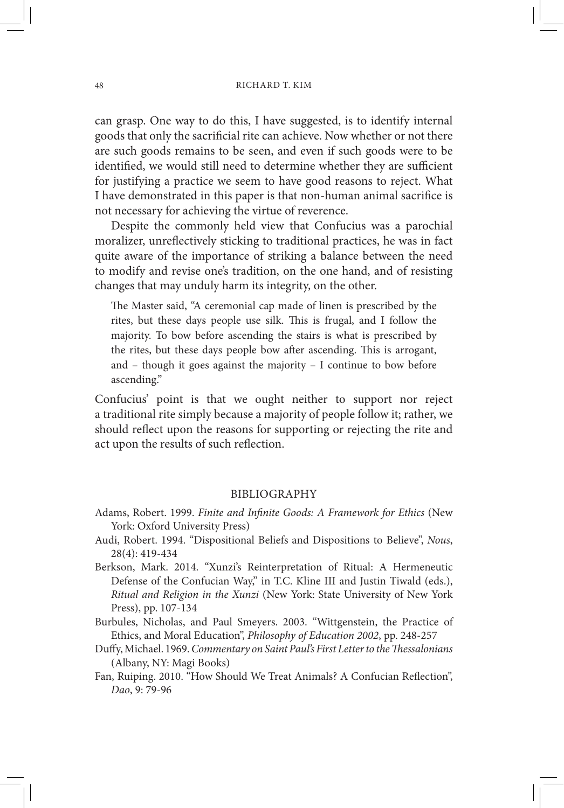can grasp. One way to do this, I have suggested, is to identify internal goods that only the sacrificial rite can achieve. Now whether or not there are such goods remains to be seen, and even if such goods were to be identified, we would still need to determine whether they are sufficient for justifying a practice we seem to have good reasons to reject. What I have demonstrated in this paper is that non-human animal sacrifice is not necessary for achieving the virtue of reverence.

Despite the commonly held view that Confucius was a parochial moralizer, unreflectively sticking to traditional practices, he was in fact quite aware of the importance of striking a balance between the need to modify and revise one's tradition, on the one hand, and of resisting changes that may unduly harm its integrity, on the other.

The Master said, "A ceremonial cap made of linen is prescribed by the rites, but these days people use silk. This is frugal, and I follow the majority. To bow before ascending the stairs is what is prescribed by the rites, but these days people bow after ascending. This is arrogant, and – though it goes against the majority – I continue to bow before ascending."

Confucius' point is that we ought neither to support nor reject a traditional rite simply because a majority of people follow it; rather, we should reflect upon the reasons for supporting or rejecting the rite and act upon the results of such reflection.

#### BIBLIOGRAPHY

- Adams, Robert. 1999. *Finite and Infinite Goods: A Framework for Ethics* (New York: Oxford University Press)
- Audi, Robert. 1994. "Dispositional Beliefs and Dispositions to Believe", *Nous*, 28(4): 419-434
- Berkson, Mark. 2014. "Xunzi's Reinterpretation of Ritual: A Hermeneutic Defense of the Confucian Way," in T.C. Kline III and Justin Tiwald (eds.), *Ritual and Religion in the Xunzi* (New York: State University of New York Press), pp. 107-134
- Burbules, Nicholas, and Paul Smeyers. 2003. "Wittgenstein, the Practice of Ethics, and Moral Education", *Philosophy of Education 2002*, pp. 248-257
- Duffy, Michael. 1969. *Commentary on Saint Paul's First Letter to the Thessalonians*  (Albany, NY: Magi Books)
- Fan, Ruiping. 2010. "How Should We Treat Animals? A Confucian Reflection", *Dao*, 9: 79-96